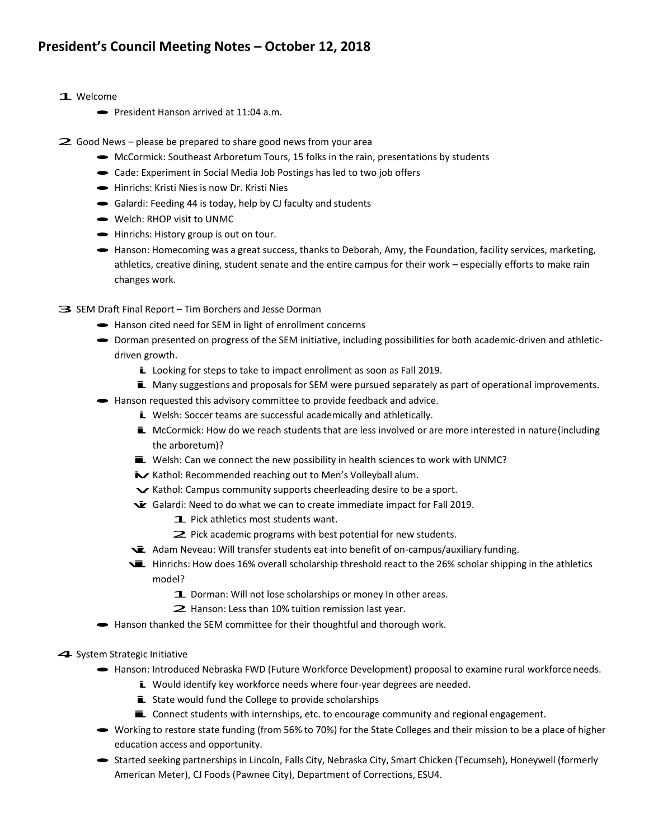# 1. Welcome

- · President Hanson arrived at 11:04 a.m.
- 2. Good News please be prepared to share good news from your area
	- d News please be prepared to share good news from your area<br>• McCormick: Southeast Arboretum Tours, 15 folks in the rain, presentations by students
	- McCormick: Southeast Arboretum Tours, 15 folks in the rain, presentat<br>• Cade: Experiment in Social Media Job Postings has led to two job offers • Cade: Experiment in Social Media Job Postings has led to two job offers<br>• Hinrichs: Kristi Nies is now Dr. Kristi Nies
	-
	- Hinrichs: Kristi Nies is now Dr. Kristi Nies<br>• Galardi: Feeding 44 is today, help by CJ faculty and students
	- Galardi: Feeding 44 is today<br>• Welch: RHOP visit to UNMC
	- Welch: RHOP visit to UNMC<br>• Hinrichs: History group is out on tour.
	- · Hanson: Homecoming was <sup>a</sup> great success, thanks to Deborah, Amy, the Foundation, facility services, marketing, athletics, creative dining, student senate and the entire campus for their work – especially efforts to make rain changes work.
- 3. SEM Draft Final Report Tim Borchers and Jesse Dorman
	- · Hanson cited need for SEM in light of enrollment concerns
	- · Dorman presented on progress of the SEM initiative, including possibilities for both academic-driven and athleticdriven growth.
		- **i.** Looking for steps to take to impact enrollment as soon as Fall 2019.
		- **ii.** Many suggestions and proposals for SEM were pursued separately as part of operational improvements.
	- · Hanson requested this advisory committee to provide feedback and advice.
		- i. Welsh: Soccer teams are successful academically and athletically.
		- **ii.** McCormick: How do we reach students that are less involved or are more interested in nature(including the arboretum)?
		- the arboretum)?<br>**iii.** Welsh: Can we connect the new possibility in health sciences to work with UNMC?
		- **ii** Welsh: Can we connect the new possibility in health sciences i<br>
		► Kathol: Recommended reaching out to Men's Volleyball alum.
		- ► Kathol: Recommended reaching out to Men's Volleyball alum.<br>► Kathol: Campus community supports cheerleading desire to be a sport.
		- viathol: Campus community supports cheerleading desire to be a sport.<br>E Galardi: Need to do what we can to create immediate impact for Fall 2019.  $\dot{\bullet}$  Galardi: Need to do what we can to create immediate impact for Fall 2019.<br>1. Pick athletics most students want.
			-
			- 2. Pick academic programs with best potential for new students.
		- F. Adam Neveau: Will transfer students eat into benefit of on-campus/auxiliary funding.
		- Hinrichs: How does 16% overall scholarship threshold react to the 26% scholar shipping in the athletics model?
			- el?<br>1. Dorman: Will not lose scholarships or money In other areas.
			- **1** Dorman: Will not lose scholarships or money In ot <br>**2** Hanson: Less than 10% tuition remission last year.
	- **Hanson: Less than 10% tuition remission last year.** Hanson thanked the SEM committee for their thoughtful and thorough work.

## 4. System Strategic Initiative

- em Strategic Initiative<br>— Hanson: Introduced Nebraska FWD (Future Workforce Development) proposal to examine rural workforce needs.
	- on: Introduced Nebraska FWD (Future Workforce Development) proposal to e<br>L Would identify key workforce needs where four-year degrees are needed. **i.** Would identify key workforce needs where four-year degrees are needed.<br>**E.** State would fund the College to provide scholarships
	-
	- **iii.** Connect students with internships, etc. to encourage community and regional engagement.
- Working to restore state funding (from 56% to 70%) for the State Colleges and their mission to be a place of higher education access and opportunity.
- · Started seeking partnerships in Lincoln, Falls City, Nebraska City, Smart Chicken (Tecumseh), Honeywell (formerly American Meter), CJ Foods (Pawnee City), Department of Corrections, ESU4.